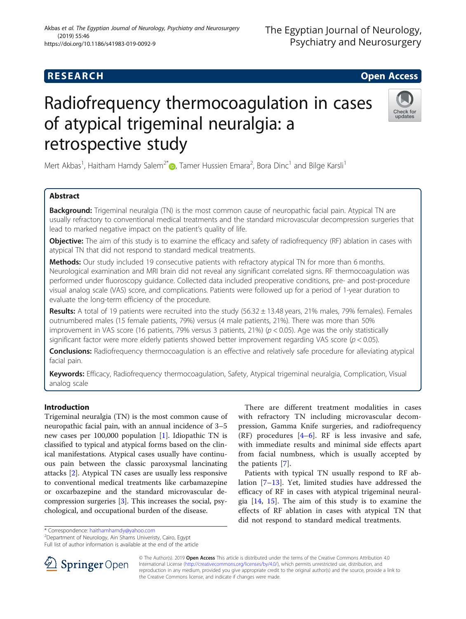### Akbas et al. The Egyptian Journal of Neurology, Psychiatry and Neurosurgery (2019) 55:46 https://doi.org/10.1186/s41983-019-0092-9

# Radiofrequency thermocoagulation in cases of atypical trigeminal neuralgia: a retrospective study

Check for undates

Mert Akbas<sup>1</sup>[,](http://orcid.org/0000-0003-1366-8467) Haitham Hamdy Salem<sup>2\*</sup> $\textcircled{\tiny D}$ , Tamer Hussien Emara<sup>2</sup>, Bora Dinc<sup>1</sup> and Bilge Karsli<sup>1</sup>

# Abstract

**Background:** Trigeminal neuralgia (TN) is the most common cause of neuropathic facial pain. Atypical TN are usually refractory to conventional medical treatments and the standard microvascular decompression surgeries that lead to marked negative impact on the patient's quality of life.

**Objective:** The aim of this study is to examine the efficacy and safety of radiofrequency (RF) ablation in cases with atypical TN that did not respond to standard medical treatments.

Methods: Our study included 19 consecutive patients with refractory atypical TN for more than 6 months. Neurological examination and MRI brain did not reveal any significant correlated signs. RF thermocoagulation was performed under fluoroscopy guidance. Collected data included preoperative conditions, pre- and post-procedure visual analog scale (VAS) score, and complications. Patients were followed up for a period of 1-year duration to evaluate the long-term efficiency of the procedure.

Results: A total of 19 patients were recruited into the study (56.32 ± 13.48 years, 21% males, 79% females). Females outnumbered males (15 female patients, 79%) versus (4 male patients, 21%). There was more than 50% improvement in VAS score (16 patients, 79% versus 3 patients, 21%) ( $p < 0.05$ ). Age was the only statistically significant factor were more elderly patients showed better improvement regarding VAS score ( $p < 0.05$ ).

Conclusions: Radiofrequency thermocoagulation is an effective and relatively safe procedure for alleviating atypical facial pain.

Keywords: Efficacy, Radiofrequency thermocoagulation, Safety, Atypical trigeminal neuralgia, Complication, Visual analog scale

## Introduction

Trigeminal neuralgia (TN) is the most common cause of neuropathic facial pain, with an annual incidence of 3–5 new cases per 100,000 population [[1\]](#page-3-0). Idiopathic TN is classified to typical and atypical forms based on the clinical manifestations. Atypical cases usually have continuous pain between the classic paroxysmal lancinating attacks [\[2](#page-3-0)]. Atypical TN cases are usually less responsive to conventional medical treatments like carbamazepine or oxcarbazepine and the standard microvascular decompression surgeries [\[3](#page-3-0)]. This increases the social, psychological, and occupational burden of the disease.

There are different treatment modalities in cases with refractory TN including microvascular decompression, Gamma Knife surgeries, and radiofrequency  $(RF)$  procedures  $[4-6]$  $[4-6]$  $[4-6]$  $[4-6]$ . RF is less invasive and safe, with immediate results and minimal side effects apart from facial numbness, which is usually accepted by the patients [[7\]](#page-3-0).

Patients with typical TN usually respond to RF ablation [\[7](#page-3-0)–[13\]](#page-3-0). Yet, limited studies have addressed the efficacy of RF in cases with atypical trigeminal neuralgia [[14](#page-3-0), [15](#page-3-0)]. The aim of this study is to examine the effects of RF ablation in cases with atypical TN that did not respond to standard medical treatments.

\* Correspondence: [haithamhamdy@yahoo.com](mailto:haithamhamdy@yahoo.com) <sup>2</sup>

<sup>2</sup>Department of Neurology, Ain Shams Univeristy, Cairo, Egypt

Full list of author information is available at the end of the article



© The Author(s). 2019 **Open Access** This article is distributed under the terms of the Creative Commons Attribution 4.0 International License ([http://creativecommons.org/licenses/by/4.0/\)](http://creativecommons.org/licenses/by/4.0/), which permits unrestricted use, distribution, and reproduction in any medium, provided you give appropriate credit to the original author(s) and the source, provide a link to the Creative Commons license, and indicate if changes were made.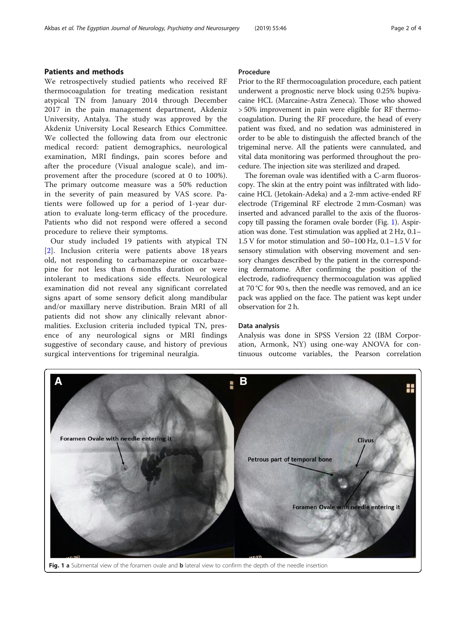# Patients and methods

We retrospectively studied patients who received RF thermocoagulation for treating medication resistant atypical TN from January 2014 through December 2017 in the pain management department, Akdeniz University, Antalya. The study was approved by the Akdeniz University Local Research Ethics Committee. We collected the following data from our electronic medical record: patient demographics, neurological examination, MRI findings, pain scores before and after the procedure (Visual analogue scale), and improvement after the procedure (scored at 0 to 100%). The primary outcome measure was a 50% reduction in the severity of pain measured by VAS score. Patients were followed up for a period of 1-year duration to evaluate long-term efficacy of the procedure. Patients who did not respond were offered a second procedure to relieve their symptoms.

Our study included 19 patients with atypical TN [[2\]](#page-3-0). Inclusion criteria were patients above 18 years old, not responding to carbamazepine or oxcarbazepine for not less than 6 months duration or were intolerant to medications side effects. Neurological examination did not reveal any significant correlated signs apart of some sensory deficit along mandibular and/or maxillary nerve distribution. Brain MRI of all patients did not show any clinically relevant abnormalities. Exclusion criteria included typical TN, presence of any neurological signs or MRI findings suggestive of secondary cause, and history of previous surgical interventions for trigeminal neuralgia.

#### Procedure

Prior to the RF thermocoagulation procedure, each patient underwent a prognostic nerve block using 0.25% bupivacaine HCL (Marcaine-Astra Zeneca). Those who showed > 50% improvement in pain were eligible for RF thermocoagulation. During the RF procedure, the head of every patient was fixed, and no sedation was administered in order to be able to distinguish the affected branch of the trigeminal nerve. All the patients were cannulated, and vital data monitoring was performed throughout the procedure. The injection site was sterilized and draped.

The foreman ovale was identified with a C-arm fluoroscopy. The skin at the entry point was infiltrated with lidocaine HCL (Jetokain-Adeka) and a 2-mm active-ended RF electrode (Trigeminal RF electrode 2 mm-Cosman) was inserted and advanced parallel to the axis of the fluoroscopy till passing the foramen ovale border (Fig. 1). Aspiration was done. Test stimulation was applied at 2 Hz, 0.1– 1.5 V for motor stimulation and 50–100 Hz, 0.1–1.5 V for sensory stimulation with observing movement and sensory changes described by the patient in the corresponding dermatome. After confirming the position of the electrode, radiofrequency thermocoagulation was applied at 70 °C for 90 s, then the needle was removed, and an ice pack was applied on the face. The patient was kept under observation for 2 h.

#### Data analysis

Analysis was done in SPSS Version 22 (IBM Corporation, Armonk, NY) using one-way ANOVA for continuous outcome variables, the Pearson correlation

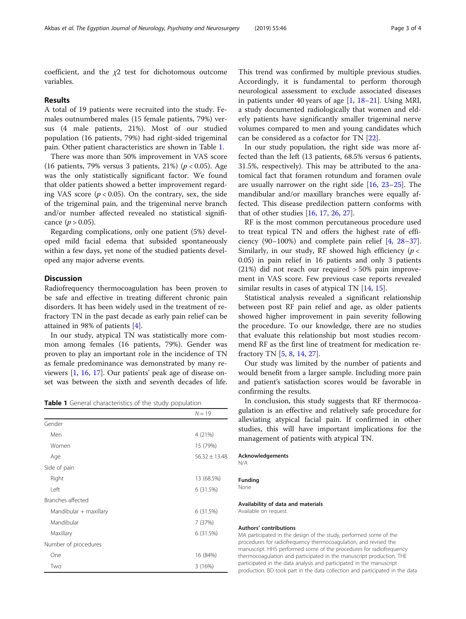coefficient, and the  $\chi$ 2 test for dichotomous outcome variables.

#### Results

A total of 19 patients were recruited into the study. Females outnumbered males (15 female patients, 79%) versus (4 male patients, 21%). Most of our studied population (16 patients, 79%) had right-sided trigeminal pain. Other patient characteristics are shown in Table 1.

There was more than 50% improvement in VAS score (16 patients, 79% versus 3 patients, 21%) ( $p < 0.05$ ). Age was the only statistically significant factor. We found that older patients showed a better improvement regarding VAS score ( $p < 0.05$ ). On the contrary, sex, the side of the trigeminal pain, and the trigeminal nerve branch and/or number affected revealed no statistical significance ( $p > 0.05$ ).

Regarding complications, only one patient (5%) developed mild facial edema that subsided spontaneously within a few days, yet none of the studied patients developed any major adverse events.

#### **Discussion**

Radiofrequency thermocoagulation has been proven to be safe and effective in treating different chronic pain disorders. It has been widely used in the treatment of refractory TN in the past decade as early pain relief can be attained in 98% of patients [\[4](#page-3-0)].

In our study, atypical TN was statistically more common among females (16 patients, 79%). Gender was proven to play an important role in the incidence of TN as female predominance was demonstrated by many reviewers [\[1](#page-3-0), [16](#page-3-0), [17\]](#page-3-0). Our patients' peak age of disease onset was between the sixth and seventh decades of life.

Table 1 General characteristics of the study population

|                        | $N = 19$          |
|------------------------|-------------------|
| Gender                 |                   |
| Men                    | 4(21%)            |
| Women                  | 15 (79%)          |
| Age                    | $56.32 \pm 13.48$ |
| Side of pain           |                   |
| Right                  | 13 (68.5%)        |
| Left                   | 6 (31.5%)         |
| Branches affected      |                   |
| Mandibular + maxillary | 6 (31.5%)         |
| Mandibular             | 7 (37%)           |
| Maxillary              | 6 (31.5%)         |
| Number of procedures   |                   |
| One                    | 16 (84%)          |
| Two                    | 3(16%)            |

This trend was confirmed by multiple previous studies. Accordingly, it is fundamental to perform thorough neurological assessment to exclude associated diseases in patients under 40 years of age  $[1, 18-21]$  $[1, 18-21]$  $[1, 18-21]$  $[1, 18-21]$  $[1, 18-21]$  $[1, 18-21]$ . Using MRI, a study documented radiologically that women and elderly patients have significantly smaller trigeminal nerve volumes compared to men and young candidates which can be considered as a cofactor for TN [[22\]](#page-3-0).

In our study population, the right side was more affected than the left (13 patients, 68.5% versus 6 patients, 31.5%, respectively). This may be attributed to the anatomical fact that foramen rotundum and foramen ovale are usually narrower on the right side  $[16, 23-25]$  $[16, 23-25]$  $[16, 23-25]$  $[16, 23-25]$  $[16, 23-25]$  $[16, 23-25]$  $[16, 23-25]$ . The mandibular and/or maxillary branches were equally affected. This disease predilection pattern conforms with that of other studies [[16](#page-3-0), [17](#page-3-0), [26](#page-3-0), [27](#page-3-0)].

RF is the most common percutaneous procedure used to treat typical TN and offers the highest rate of efficiency (90–100%) and complete pain relief [[4,](#page-3-0) [28](#page-3-0)–[37](#page-3-0)]. Similarly, in our study, RF showed high efficiency ( $p <$ 0.05) in pain relief in 16 patients and only 3 patients  $(21%)$  did not reach our required  $>50%$  pain improvement in VAS score. Few previous case reports revealed similar results in cases of atypical TN [[14,](#page-3-0) [15\]](#page-3-0).

Statistical analysis revealed a significant relationship between post RF pain relief and age, as older patients showed higher improvement in pain severity following the procedure. To our knowledge, there are no studies that evaluate this relationship but most studies recommend RF as the first line of treatment for medication refractory TN [\[5](#page-3-0), [8](#page-3-0), [14](#page-3-0), [27](#page-3-0)].

Our study was limited by the number of patients and would benefit from a larger sample. Including more pain and patient's satisfaction scores would be favorable in confirming the results.

In conclusion, this study suggests that RF thermocoagulation is an effective and relatively safe procedure for alleviating atypical facial pain. If confirmed in other studies, this will have important implications for the management of patients with atypical TN.

Acknowledgements N/A

Funding

None

#### Availability of data and materials Available on request.

#### Authors' contributions

MA participated in the design of the study, performed some of the procedures for radiofrequency thermocoagulation, and revised the manuscript. HHS performed some of the procedures for radiofrequency thermocoagulation and participated in the manuscript production. THE participated in the data analysis and participated in the manuscript production. BD took part in the data collection and participated in the data